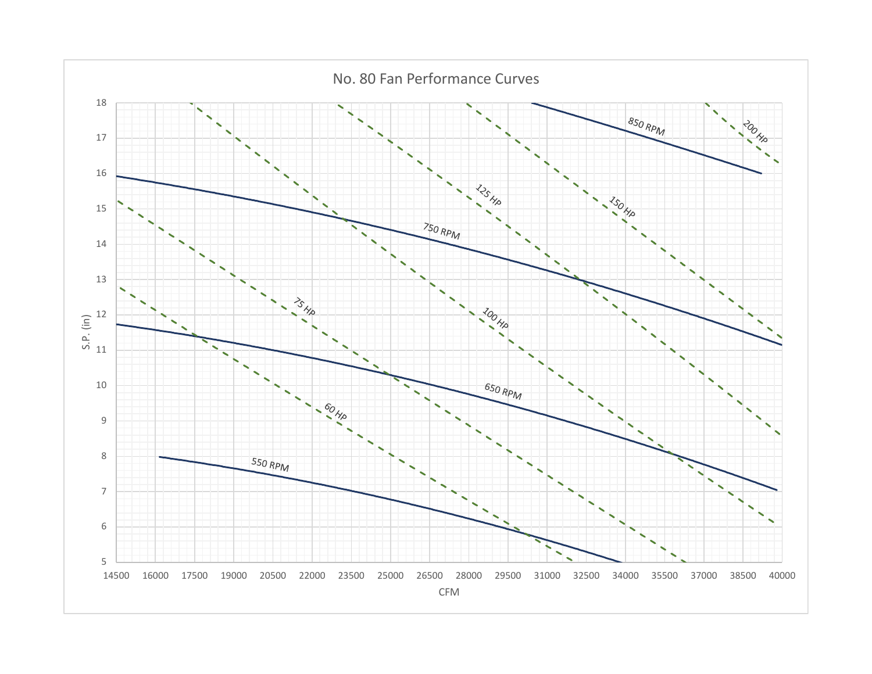